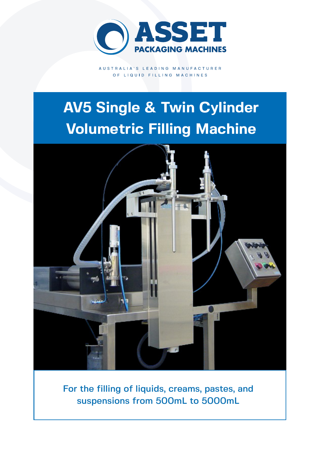

AUSTRALIA'S LEADING MANUFACTURER OF LIQUID FILLING MACHINES

# **AV5 Single & Twin Cylinder Volumetric Filling Machine**



For the filling of liquids, creams, pastes, and suspensions from 500mL to 5000mL